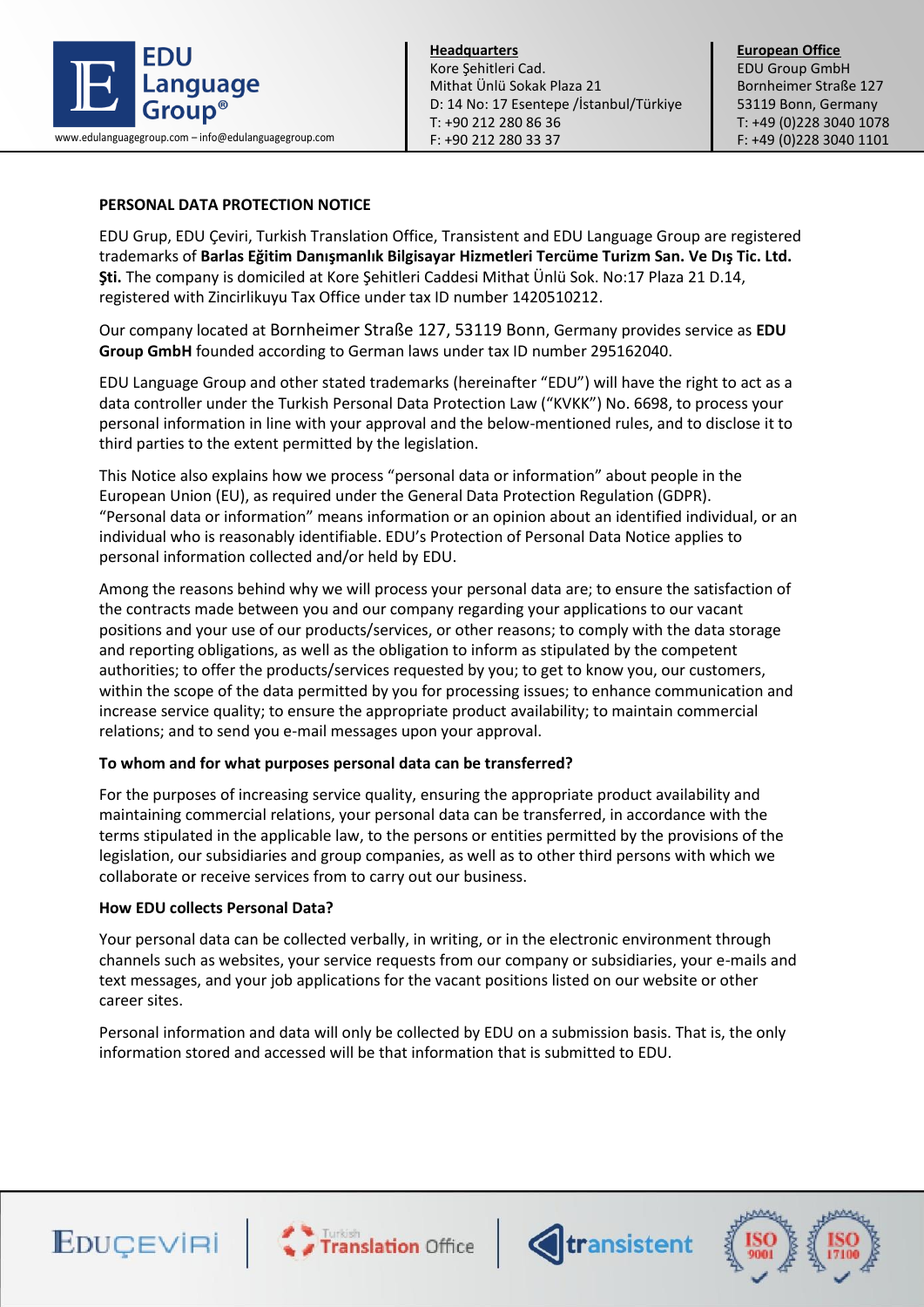

**European Office** EDU Group GmbH Bornheimer Straße 127 53119 Bonn, Germany T: +49 (0)228 3040 1078

## **PERSONAL DATA PROTECTION NOTICE**

EDU Grup, EDU Çeviri, Turkish Translation Office, Transistent and EDU Language Group are registered trademarks of **Barlas Eğitim Danışmanlık Bilgisayar Hizmetleri Tercüme Turizm San. Ve Dış Tic. Ltd. Şti.** The company is domiciled at Kore Şehitleri Caddesi Mithat Ünlü Sok. No:17 Plaza 21 D.14, registered with Zincirlikuyu Tax Office under tax ID number 1420510212.

Our company located at Bornheimer Straße 127, 53119 Bonn, Germany provides service as **EDU Group GmbH** founded according to German laws under tax ID number 295162040.

EDU Language Group and other stated trademarks (hereinafter "EDU") will have the right to act as a data controller under the Turkish Personal Data Protection Law ("KVKK") No. 6698, to process your personal information in line with your approval and the below-mentioned rules, and to disclose it to third parties to the extent permitted by the legislation.

This Notice also explains how we process "personal data or information" about people in the European Union (EU), as required under the General Data Protection Regulation (GDPR). "Personal data or information" means information or an opinion about an identified individual, or an individual who is reasonably identifiable. EDU's Protection of Personal Data Notice applies to personal information collected and/or held by EDU.

Among the reasons behind why we will process your personal data are; to ensure the satisfaction of the contracts made between you and our company regarding your applications to our vacant positions and your use of our products/services, or other reasons; to comply with the data storage and reporting obligations, as well as the obligation to inform as stipulated by the competent authorities; to offer the products/services requested by you; to get to know you, our customers, within the scope of the data permitted by you for processing issues; to enhance communication and increase service quality; to ensure the appropriate product availability; to maintain commercial relations; and to send you e-mail messages upon your approval.

#### **To whom and for what purposes personal data can be transferred?**

For the purposes of increasing service quality, ensuring the appropriate product availability and maintaining commercial relations, your personal data can be transferred, in accordance with the terms stipulated in the applicable law, to the persons or entities permitted by the provisions of the legislation, our subsidiaries and group companies, as well as to other third persons with which we collaborate or receive services from to carry out our business.

#### **How EDU collects Personal Data?**

Your personal data can be collected verbally, in writing, or in the electronic environment through channels such as websites, your service requests from our company or subsidiaries, your e-mails and text messages, and your job applications for the vacant positions listed on our website or other career sites.

Personal information and data will only be collected by EDU on a submission basis. That is, the only information stored and accessed will be that information that is submitted to EDU.







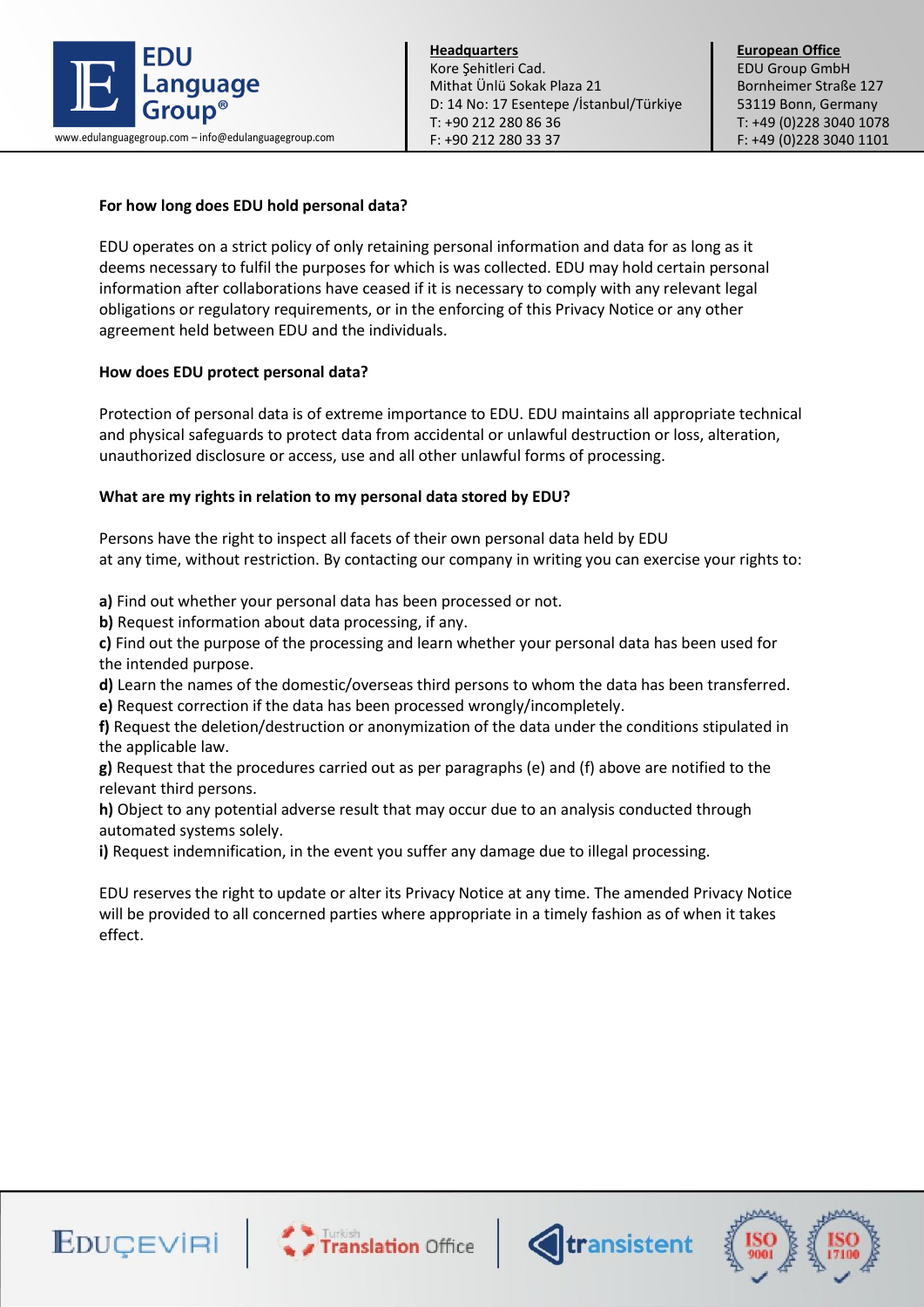

**Headquarters** Kore Şehitleri Cad. Mithat Ünlü Sokak Plaza 21 D: 14 No: 17 Esentepe /İstanbul/Türkiye T: +90 212 280 86 36 F: +90 212 280 33 37 www.edulanguagegroup.com – info@edulanguagegroup.com **F:** +90 212 280 33 37 F: +49 (0)228 3040 1101

# **For how long does EDU hold personal data?**

EDU operates on a strict policy of only retaining personal information and data for as long as it deems necessary to fulfil the purposes for which is was collected. EDU may hold certain personal information after collaborations have ceased if it is necessary to comply with any relevant legal obligations or regulatory requirements, or in the enforcing of this Privacy Notice or any other agreement held between EDU and the individuals.

## **How does EDU protect personal data?**

Protection of personal data is of extreme importance to EDU. EDU maintains all appropriate technical and physical safeguards to protect data from accidental or unlawful destruction or loss, alteration, unauthorized disclosure or access, use and all other unlawful forms of processing.

#### **What are my rights in relation to my personal data stored by EDU?**

Persons have the right to inspect all facets of their own personal data held by EDU at any time, without restriction. By contacting our company in writing you can exercise your rights to:

**a)** Find out whether your personal data has been processed or not.

**b)** Request information about data processing, if any.

**c)** Find out the purpose of the processing and learn whether your personal data has been used for the intended purpose.

**d)** Learn the names of the domestic/overseas third persons to whom the data has been transferred.

**e)** Request correction if the data has been processed wrongly/incompletely.

**f)** Request the deletion/destruction or anonymization of the data under the conditions stipulated in the applicable law.

**g)** Request that the procedures carried out as per paragraphs (e) and (f) above are notified to the relevant third persons.

**h)** Object to any potential adverse result that may occur due to an analysis conducted through automated systems solely.

**i)** Request indemnification, in the event you suffer any damage due to illegal processing.

EDU reserves the right to update or alter its Privacy Notice at any time. The amended Privacy Notice will be provided to all concerned parties where appropriate in a timely fashion as of when it takes effect.







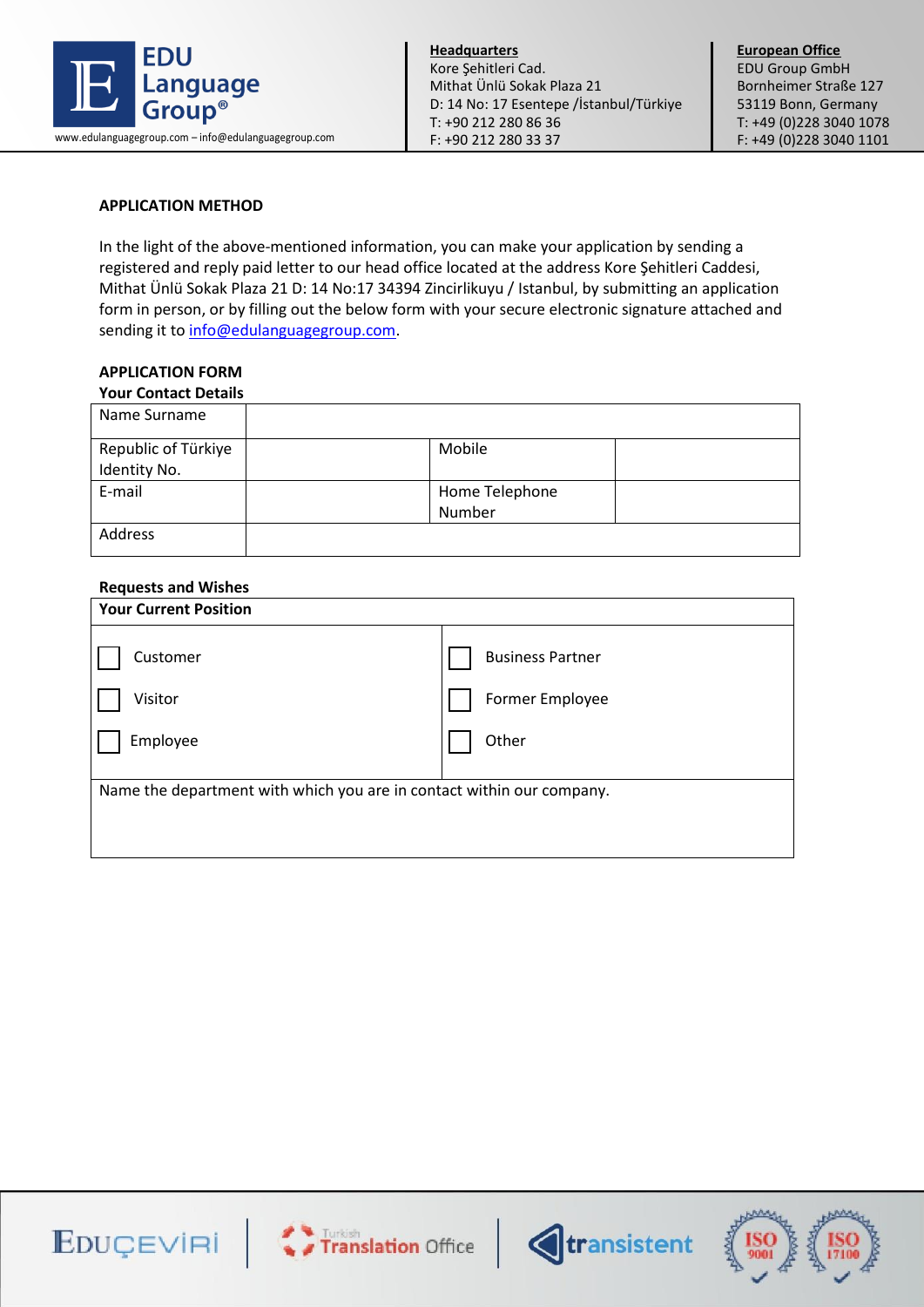

## **APPLICATION METHOD**

In the light of the above-mentioned information, you can make your application by sending a registered and reply paid letter to our head office located at the address Kore Şehitleri Caddesi, Mithat Ünlü Sokak Plaza 21 D: 14 No:17 34394 Zincirlikuyu / Istanbul, by submitting an application form in person, or by filling out the below form with your secure electronic signature attached and sending it to [info@edulanguagegroup.com.](mailto:info@edulanguagegroup.com)

## **APPLICATION FORM**

#### **Your Contact Details**

| Mobile         |
|----------------|
|                |
| Home Telephone |
| Number         |
|                |
|                |

#### **Requests and Wishes**

| <b>Your Current Position</b>                                          |                         |  |  |
|-----------------------------------------------------------------------|-------------------------|--|--|
| Customer                                                              | <b>Business Partner</b> |  |  |
| Visitor                                                               | Former Employee         |  |  |
| Employee                                                              | Other                   |  |  |
| Name the department with which you are in contact within our company. |                         |  |  |
|                                                                       |                         |  |  |





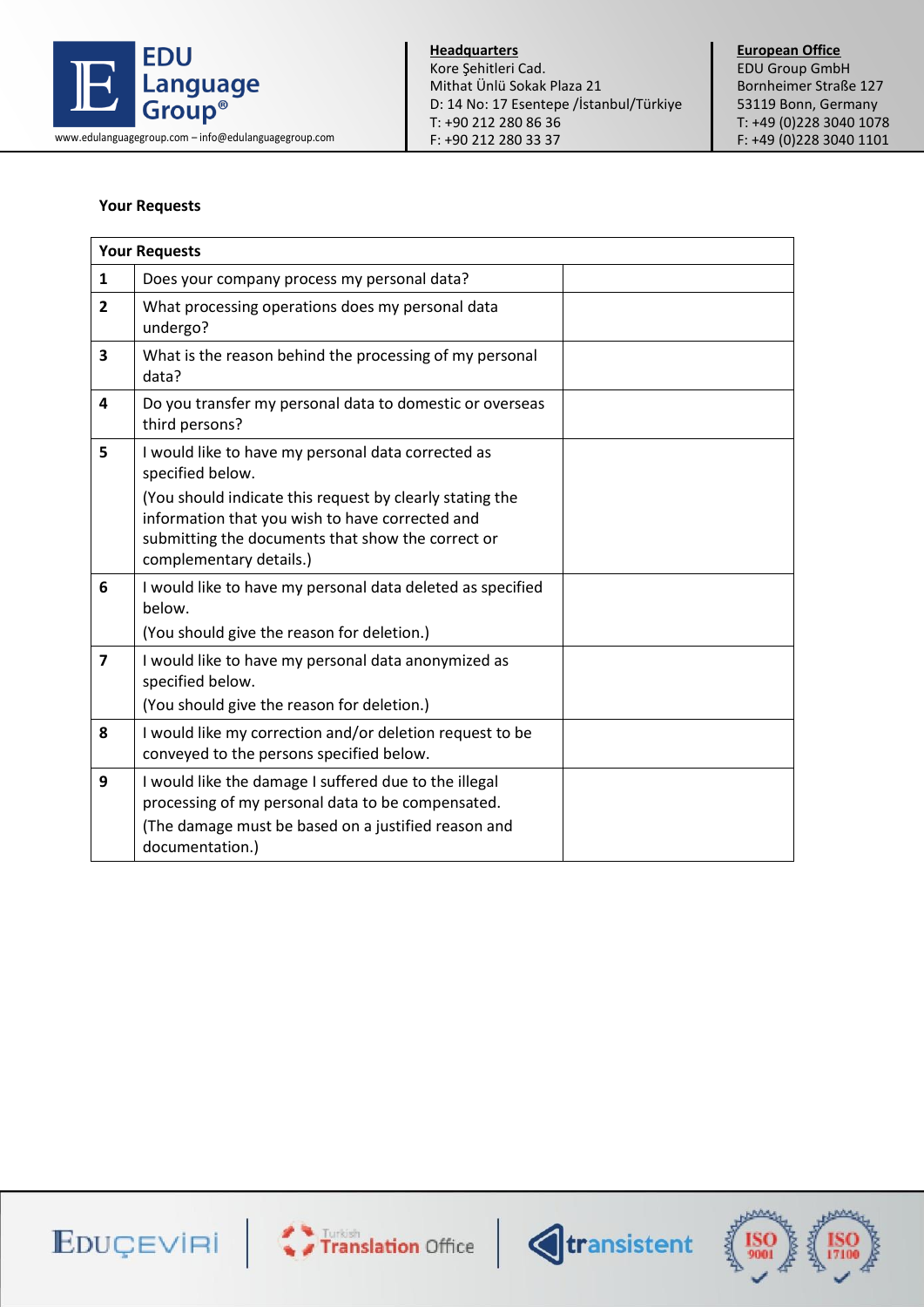

**European Office** EDU Group GmbH Bornheimer Straße 127 53119 Bonn, Germany T: +49 (0)228 3040 1078

### **Your Requests**

| <b>Your Requests</b>    |                                                                                                                                                                                                                                                                       |  |  |
|-------------------------|-----------------------------------------------------------------------------------------------------------------------------------------------------------------------------------------------------------------------------------------------------------------------|--|--|
| $\mathbf{1}$            | Does your company process my personal data?                                                                                                                                                                                                                           |  |  |
| $\overline{2}$          | What processing operations does my personal data<br>undergo?                                                                                                                                                                                                          |  |  |
| 3                       | What is the reason behind the processing of my personal<br>data?                                                                                                                                                                                                      |  |  |
| 4                       | Do you transfer my personal data to domestic or overseas<br>third persons?                                                                                                                                                                                            |  |  |
| 5                       | I would like to have my personal data corrected as<br>specified below.<br>(You should indicate this request by clearly stating the<br>information that you wish to have corrected and<br>submitting the documents that show the correct or<br>complementary details.) |  |  |
| 6                       | I would like to have my personal data deleted as specified<br>below.<br>(You should give the reason for deletion.)                                                                                                                                                    |  |  |
| $\overline{\mathbf{z}}$ | I would like to have my personal data anonymized as<br>specified below.<br>(You should give the reason for deletion.)                                                                                                                                                 |  |  |
| 8                       | I would like my correction and/or deletion request to be<br>conveyed to the persons specified below.                                                                                                                                                                  |  |  |
| 9                       | I would like the damage I suffered due to the illegal<br>processing of my personal data to be compensated.<br>(The damage must be based on a justified reason and<br>documentation.)                                                                                  |  |  |